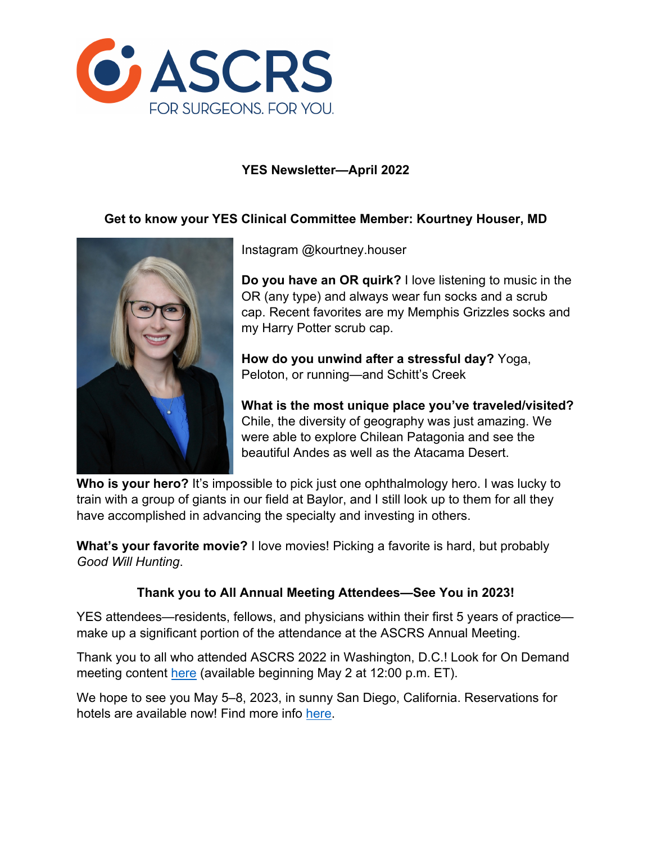

## **YES Newsletter—April 2022**

### **Get to know your YES Clinical Committee Member: Kourtney Houser, MD**



Instagram @kourtney.houser

**Do you have an OR quirk?** I love listening to music in the OR (any type) and always wear fun socks and a scrub cap. Recent favorites are my Memphis Grizzles socks and my Harry Potter scrub cap.

**How do you unwind after a stressful day?** Yoga, Peloton, or running—and Schitt's Creek

**What is the most unique place you've traveled/visited?** Chile, the diversity of geography was just amazing. We were able to explore Chilean Patagonia and see the beautiful Andes as well as the Atacama Desert.

**Who is your hero?** It's impossible to pick just one ophthalmology hero. I was lucky to train with a group of giants in our field at Baylor, and I still look up to them for all they have accomplished in advancing the specialty and investing in others.

**What's your favorite movie?** I love movies! Picking a favorite is hard, but probably *Good Will Hunting*.

# **Thank you to All Annual Meeting Attendees—See You in 2023!**

YES attendees—residents, fellows, and physicians within their first 5 years of practice make up a significant portion of the attendance at the ASCRS Annual Meeting.

Thank you to all who attended ASCRS 2022 in Washington, D.C.! Look for On Demand meeting content here (available beginning May 2 at 12:00 p.m. ET).

We hope to see you May 5–8, 2023, in sunny San Diego, California. Reservations for hotels are available now! Find more info here.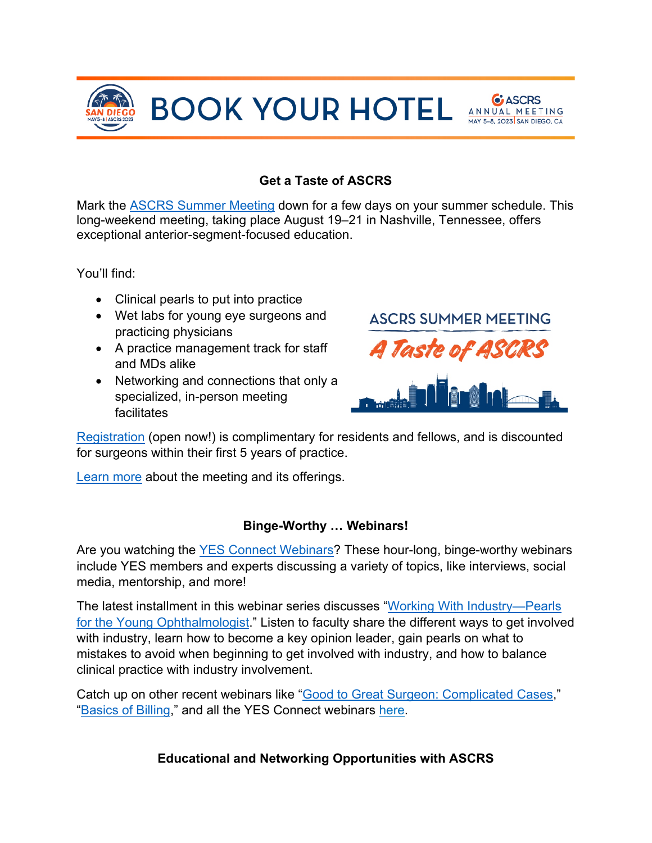

**BOOK YOUR HOTEL SOUR BOOK** 



# **Get a Taste of ASCRS**

Mark the ASCRS Summer Meeting down for a few days on your summer schedule. This long-weekend meeting, taking place August 19–21 in Nashville, Tennessee, offers exceptional anterior-segment-focused education.

You'll find:

- Clinical pearls to put into practice
- Wet labs for young eye surgeons and practicing physicians
- A practice management track for staff and MDs alike
- Networking and connections that only a specialized, in-person meeting facilitates



Registration (open now!) is complimentary for residents and fellows, and is discounted for surgeons within their first 5 years of practice.

Learn more about the meeting and its offerings.

### **Binge-Worthy … Webinars!**

Are you watching the YES Connect Webinars? These hour-long, binge-worthy webinars include YES members and experts discussing a variety of topics, like interviews, social media, mentorship, and more!

The latest installment in this webinar series discusses "Working With Industry—Pearls for the Young Ophthalmologist." Listen to faculty share the different ways to get involved with industry, learn how to become a key opinion leader, gain pearls on what to mistakes to avoid when beginning to get involved with industry, and how to balance clinical practice with industry involvement.

Catch up on other recent webinars like "Good to Great Surgeon: Complicated Cases," "Basics of Billing," and all the YES Connect webinars here.

**Educational and Networking Opportunities with ASCRS**